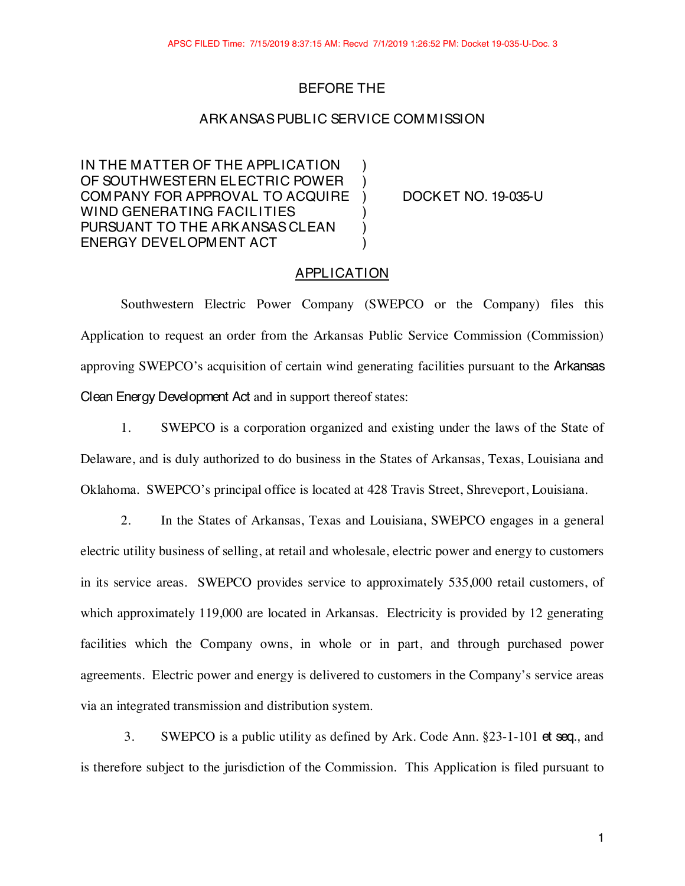# BEFORE THE

## ARKANSASPUBLIC SERVICE COMMISSION

IN THE MATTER OF THE APPLICATION ) OF SOUTHWESTERN ELECTRIC POWER ) COMPANY FOR APPROVAL TO ACQUIRE ) DOCKET NO. 19-035-U WIND GENERATING FACILITIES PURSUANT TO THE ARK ANSAS CLEAN ) ENERGY DEVELOPMENT ACT )

## APPLICATION

Southwestern Electric Power Company (SWEPCO or the Company) files this Application to request an order from the Arkansas Public Service Commission (Commission) approving SWEPCO's acquisition of certain wind generating facilities pursuant to the Arkansas Clean Energy Development Act and in support thereof states:

1. SWEPCO is a corporation organized and existing under the laws of the State of Delaware, and is duly authorized to do business in the States of Arkansas, Texas, Louisiana and Oklahoma. SWEPCO's principal office is located at 428 Travis Street, Shreveport, Louisiana.

2. In the States of Arkansas, Texas and Louisiana, SWEPCO engages in a general electric utility business of selling, at retail and wholesale, electric power and energy to customers in its service areas. SWEPCO provides service to approximately 535,000 retail customers, of which approximately 119,000 are located in Arkansas. Electricity is provided by 12 generating facilities which the Company owns, in whole or in part, and through purchased power agreements. Electric power and energy is delivered to customers in the Company's service areas via an integrated transmission and distribution system.

3. SWEPCO is a public utility as defined by Ark. Code Ann. §23-1-101 et seq., and is therefore subject to the jurisdiction of the Commission. This Application is filed pursuant to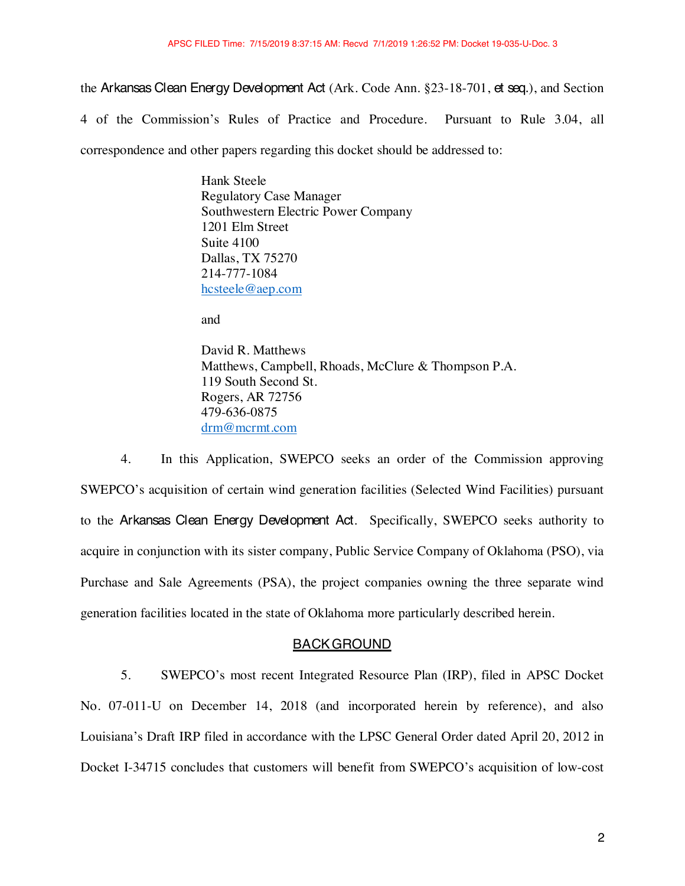the Arkansas Clean Energy Development Act (Ark. Code Ann. §23-18-701, et seq.), and Section 4 of the Commission's Rules of Practice and Procedure. Pursuant to Rule 3.04, all correspondence and other papers regarding this docket should be addressed to:

> Hank Steele Regulatory Case Manager Southwestern Electric Power Company 1201 Elm Street Suite 4100 Dallas, TX 75270 214-777-1084 hcsteele@aep.com

and

David R. Matthews Matthews, Campbell, Rhoads, McClure & Thompson P.A. 119 South Second St. Rogers, AR 72756 479-636-0875 drm@mcrmt.com

4. In this Application, SWEPCO seeks an order of the Commission approving SWEPCO's acquisition of certain wind generation facilities (Selected Wind Facilities) pursuant to the Arkansas Clean Energy Development Act. Specifically, SWEPCO seeks authority to acquire in conjunction with its sister company, Public Service Company of Oklahoma (PSO), via Purchase and Sale Agreements (PSA), the project companies owning the three separate wind generation facilities located in the state of Oklahoma more particularly described herein.

## BACKGROUND

5. SWEPCO's most recent Integrated Resource Plan (IRP), filed in APSC Docket No. 07-011-U on December 14, 2018 (and incorporated herein by reference), and also Louisiana's Draft IRP filed in accordance with the LPSC General Order dated April 20, 2012 in Docket I-34715 concludes that customers will benefit from SWEPCO's acquisition of low-cost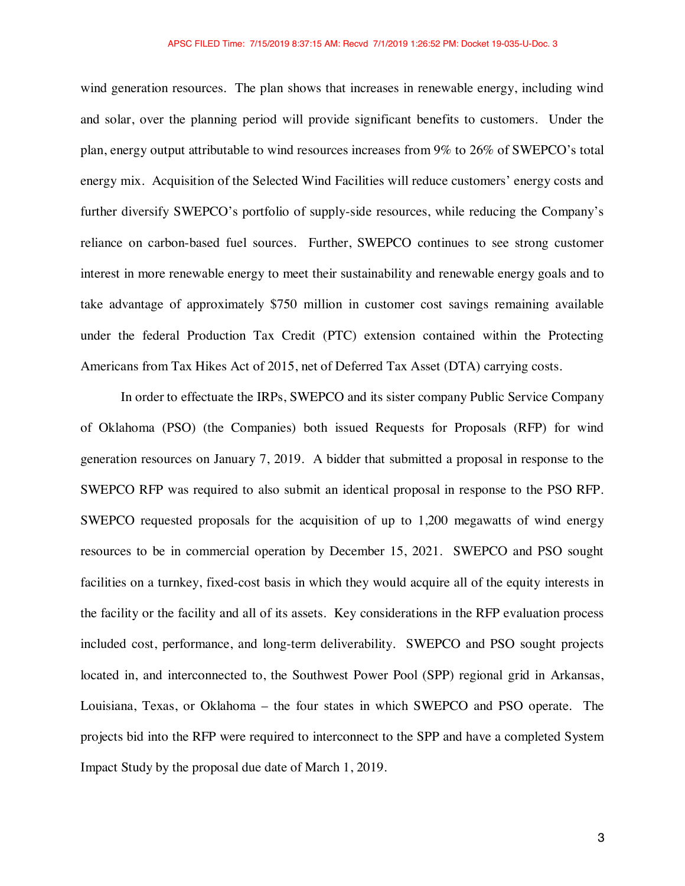wind generation resources. The plan shows that increases in renewable energy, including wind and solar, over the planning period will provide significant benefits to customers. Under the plan, energy output attributable to wind resources increases from 9% to 26% of SWEPCO's total energy mix. Acquisition of the Selected Wind Facilities will reduce customers' energy costs and further diversify SWEPCO's portfolio of supply-side resources, while reducing the Company's reliance on carbon-based fuel sources. Further, SWEPCO continues to see strong customer interest in more renewable energy to meet their sustainability and renewable energy goals and to take advantage of approximately \$750 million in customer cost savings remaining available under the federal Production Tax Credit (PTC) extension contained within the Protecting Americans from Tax Hikes Act of 2015, net of Deferred Tax Asset (DTA) carrying costs.

In order to effectuate the IRPs, SWEPCO and its sister company Public Service Company of Oklahoma (PSO) (the Companies) both issued Requests for Proposals (RFP) for wind generation resources on January 7, 2019. A bidder that submitted a proposal in response to the SWEPCO RFP was required to also submit an identical proposal in response to the PSO RFP. SWEPCO requested proposals for the acquisition of up to 1,200 megawatts of wind energy resources to be in commercial operation by December 15, 2021. SWEPCO and PSO sought facilities on a turnkey, fixed-cost basis in which they would acquire all of the equity interests in the facility or the facility and all of its assets. Key considerations in the RFP evaluation process included cost, performance, and long-term deliverability. SWEPCO and PSO sought projects located in, and interconnected to, the Southwest Power Pool (SPP) regional grid in Arkansas, Louisiana, Texas, or Oklahoma – the four states in which SWEPCO and PSO operate. The projects bid into the RFP were required to interconnect to the SPP and have a completed System Impact Study by the proposal due date of March 1, 2019.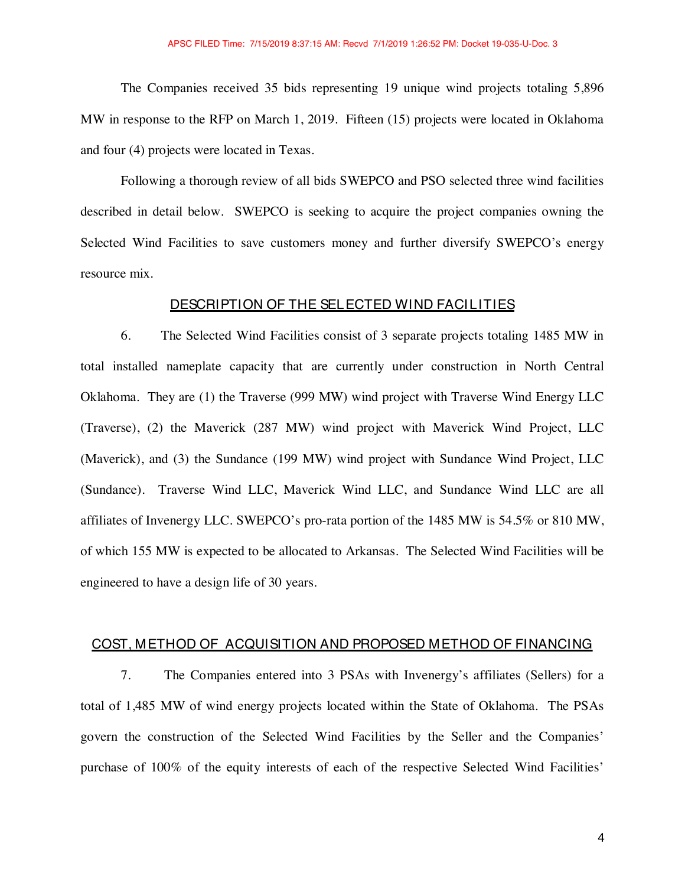The Companies received 35 bids representing 19 unique wind projects totaling 5,896 MW in response to the RFP on March 1, 2019. Fifteen (15) projects were located in Oklahoma and four (4) projects were located in Texas.

Following a thorough review of all bids SWEPCO and PSO selected three wind facilities described in detail below. SWEPCO is seeking to acquire the project companies owning the Selected Wind Facilities to save customers money and further diversify SWEPCO's energy resource mix.

## DESCRIPTION OF THE SELECTED WIND FACILITIES

6. The Selected Wind Facilities consist of 3 separate projects totaling 1485 MW in total installed nameplate capacity that are currently under construction in North Central Oklahoma. They are (1) the Traverse (999 MW) wind project with Traverse Wind Energy LLC (Traverse), (2) the Maverick (287 MW) wind project with Maverick Wind Project, LLC (Maverick), and (3) the Sundance (199 MW) wind project with Sundance Wind Project, LLC (Sundance). Traverse Wind LLC, Maverick Wind LLC, and Sundance Wind LLC are all affiliates of Invenergy LLC. SWEPCO's pro-rata portion of the 1485 MW is 54.5% or 810 MW, of which 155 MW is expected to be allocated to Arkansas. The Selected Wind Facilities will be engineered to have a design life of 30 years.

### COST, METHOD OF ACQUISITION AND PROPOSED METHOD OF FINANCING

7. The Companies entered into 3 PSAs with Invenergy's affiliates (Sellers) for a total of 1,485 MW of wind energy projects located within the State of Oklahoma. The PSAs govern the construction of the Selected Wind Facilities by the Seller and the Companies' purchase of 100% of the equity interests of each of the respective Selected Wind Facilities'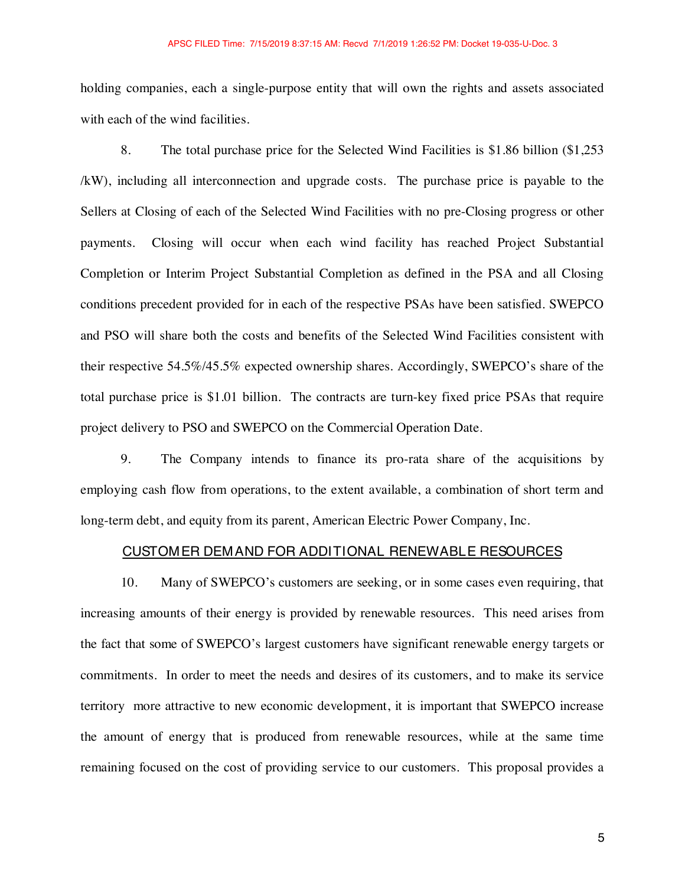holding companies, each a single-purpose entity that will own the rights and assets associated with each of the wind facilities.

8. The total purchase price for the Selected Wind Facilities is \$1.86 billion (\$1,253 /kW), including all interconnection and upgrade costs. The purchase price is payable to the Sellers at Closing of each of the Selected Wind Facilities with no pre-Closing progress or other payments. Closing will occur when each wind facility has reached Project Substantial Completion or Interim Project Substantial Completion as defined in the PSA and all Closing conditions precedent provided for in each of the respective PSAs have been satisfied. SWEPCO and PSO will share both the costs and benefits of the Selected Wind Facilities consistent with their respective 54.5%/45.5% expected ownership shares. Accordingly, SWEPCO's share of the total purchase price is \$1.01 billion. The contracts are turn-key fixed price PSAs that require project delivery to PSO and SWEPCO on the Commercial Operation Date.

9. The Company intends to finance its pro-rata share of the acquisitions by employing cash flow from operations, to the extent available, a combination of short term and long-term debt, and equity from its parent, American Electric Power Company, Inc.

#### CUSTOMER DEMAND FOR ADDITIONAL RENEWABLE RESOURCES

10. Many of SWEPCO's customers are seeking, or in some cases even requiring, that increasing amounts of their energy is provided by renewable resources. This need arises from the fact that some of SWEPCO's largest customers have significant renewable energy targets or commitments. In order to meet the needs and desires of its customers, and to make its service territory more attractive to new economic development, it is important that SWEPCO increase the amount of energy that is produced from renewable resources, while at the same time remaining focused on the cost of providing service to our customers. This proposal provides a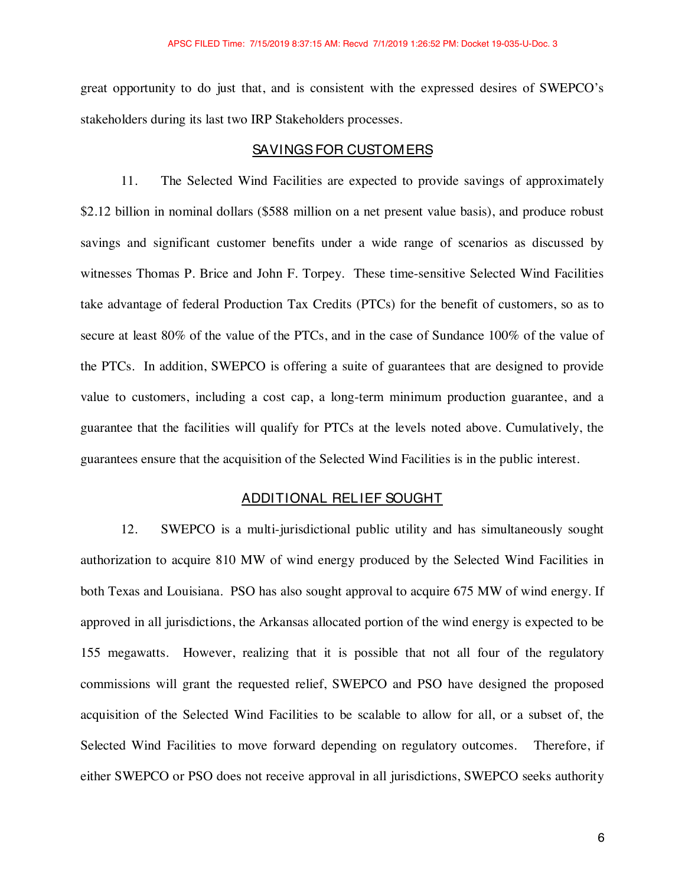great opportunity to do just that, and is consistent with the expressed desires of SWEPCO's stakeholders during its last two IRP Stakeholders processes.

### SAVINGSFOR CUSTOMERS

11. The Selected Wind Facilities are expected to provide savings of approximately \$2.12 billion in nominal dollars (\$588 million on a net present value basis), and produce robust savings and significant customer benefits under a wide range of scenarios as discussed by witnesses Thomas P. Brice and John F. Torpey. These time-sensitive Selected Wind Facilities take advantage of federal Production Tax Credits (PTCs) for the benefit of customers, so as to secure at least 80% of the value of the PTCs, and in the case of Sundance 100% of the value of the PTCs. In addition, SWEPCO is offering a suite of guarantees that are designed to provide value to customers, including a cost cap, a long-term minimum production guarantee, and a guarantee that the facilities will qualify for PTCs at the levels noted above. Cumulatively, the guarantees ensure that the acquisition of the Selected Wind Facilities is in the public interest.

# ADDITIONAL RELIEF SOUGHT

12. SWEPCO is a multi-jurisdictional public utility and has simultaneously sought authorization to acquire 810 MW of wind energy produced by the Selected Wind Facilities in both Texas and Louisiana. PSO has also sought approval to acquire 675 MW of wind energy. If approved in all jurisdictions, the Arkansas allocated portion of the wind energy is expected to be 155 megawatts. However, realizing that it is possible that not all four of the regulatory commissions will grant the requested relief, SWEPCO and PSO have designed the proposed acquisition of the Selected Wind Facilities to be scalable to allow for all, or a subset of, the Selected Wind Facilities to move forward depending on regulatory outcomes. Therefore, if either SWEPCO or PSO does not receive approval in all jurisdictions, SWEPCO seeks authority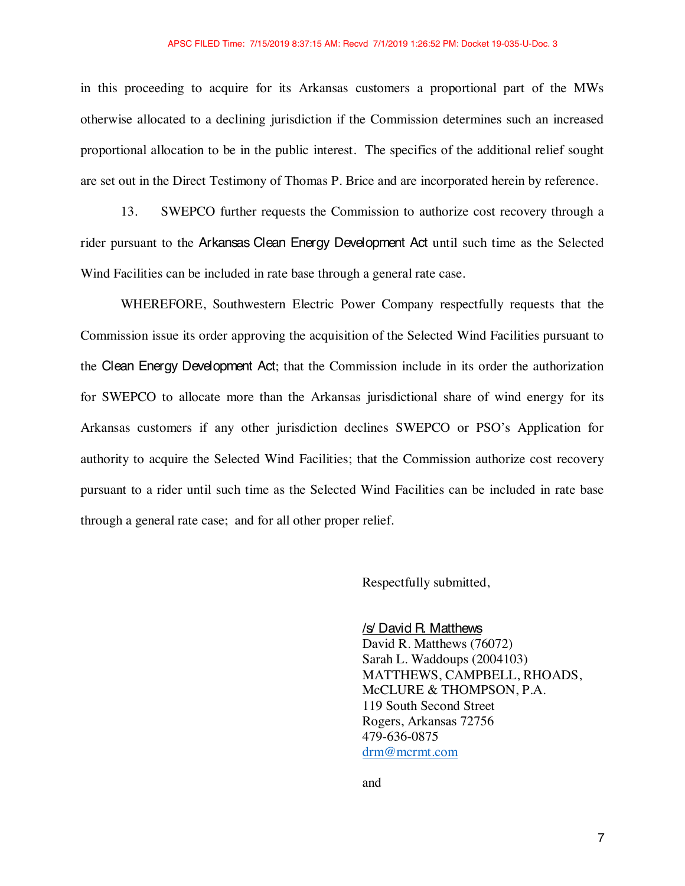in this proceeding to acquire for its Arkansas customers a proportional part of the MWs otherwise allocated to a declining jurisdiction if the Commission determines such an increased proportional allocation to be in the public interest. The specifics of the additional relief sought are set out in the Direct Testimony of Thomas P. Brice and are incorporated herein by reference.

13. SWEPCO further requests the Commission to authorize cost recovery through a rider pursuant to the Arkansas Clean Energy Development Act until such time as the Selected Wind Facilities can be included in rate base through a general rate case.

WHEREFORE, Southwestern Electric Power Company respectfully requests that the Commission issue its order approving the acquisition of the Selected Wind Facilities pursuant to the Clean Energy Development Act; that the Commission include in its order the authorization for SWEPCO to allocate more than the Arkansas jurisdictional share of wind energy for its Arkansas customers if any other jurisdiction declines SWEPCO or PSO's Application for authority to acquire the Selected Wind Facilities; that the Commission authorize cost recovery pursuant to a rider until such time as the Selected Wind Facilities can be included in rate base through a general rate case; and for all other proper relief.

Respectfully submitted,

/s/ David R. Matthews David R. Matthews (76072) Sarah L. Waddoups (2004103) MATTHEWS, CAMPBELL, RHOADS, McCLURE & THOMPSON, P.A. 119 South Second Street Rogers, Arkansas 72756 479-636-0875 drm@mcrmt.com